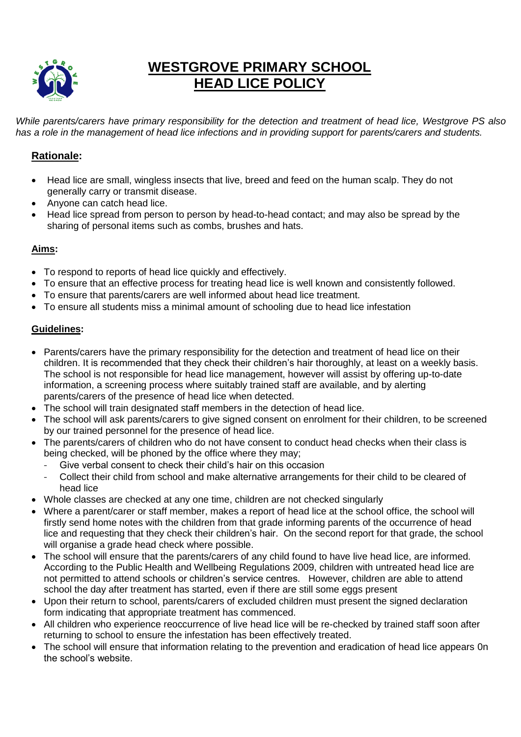

## **WESTGROVE PRIMARY SCHOOL HEAD LICE POLICY**

*While parents/carers have primary responsibility for the detection and treatment of head lice, Westgrove PS also has a role in the management of head lice infections and in providing support for parents/carers and students.*

#### **Rationale:**

- Head lice are small, wingless insects that live, breed and feed on the human scalp. They do not generally carry or transmit disease.
- Anyone can catch head lice.
- Head lice spread from person to person by head-to-head contact; and may also be spread by the sharing of personal items such as combs, brushes and hats.

#### **Aims:**

- To respond to reports of head lice quickly and effectively.
- To ensure that an effective process for treating head lice is well known and consistently followed.
- To ensure that parents/carers are well informed about head lice treatment.
- To ensure all students miss a minimal amount of schooling due to head lice infestation

#### **Guidelines:**

- Parents/carers have the primary responsibility for the detection and treatment of head lice on their children. It is recommended that they check their children's hair thoroughly, at least on a weekly basis. The school is not responsible for head lice management, however will assist by offering up-to-date information, a screening process where suitably trained staff are available, and by alerting parents/carers of the presence of head lice when detected.
- The school will train designated staff members in the detection of head lice.
- The school will ask parents/carers to give signed consent on enrolment for their children, to be screened by our trained personnel for the presence of head lice.
- The parents/carers of children who do not have consent to conduct head checks when their class is being checked, will be phoned by the office where they may;
	- Give verbal consent to check their child's hair on this occasion
	- Collect their child from school and make alternative arrangements for their child to be cleared of head lice
- Whole classes are checked at any one time, children are not checked singularly
- Where a parent/carer or staff member, makes a report of head lice at the school office, the school will firstly send home notes with the children from that grade informing parents of the occurrence of head lice and requesting that they check their children's hair. On the second report for that grade, the school will organise a grade head check where possible.
- The school will ensure that the parents/carers of any child found to have live head lice, are informed. According to the Public Health and Wellbeing Regulations 2009, children with untreated head lice are not permitted to attend schools or children's service centres. However, children are able to attend school the day after treatment has started, even if there are still some eggs present
- Upon their return to school, parents/carers of excluded children must present the signed declaration form indicating that appropriate treatment has commenced.
- All children who experience reoccurrence of live head lice will be re-checked by trained staff soon after returning to school to ensure the infestation has been effectively treated.
- The school will ensure that information relating to the prevention and eradication of head lice appears 0n the school's website.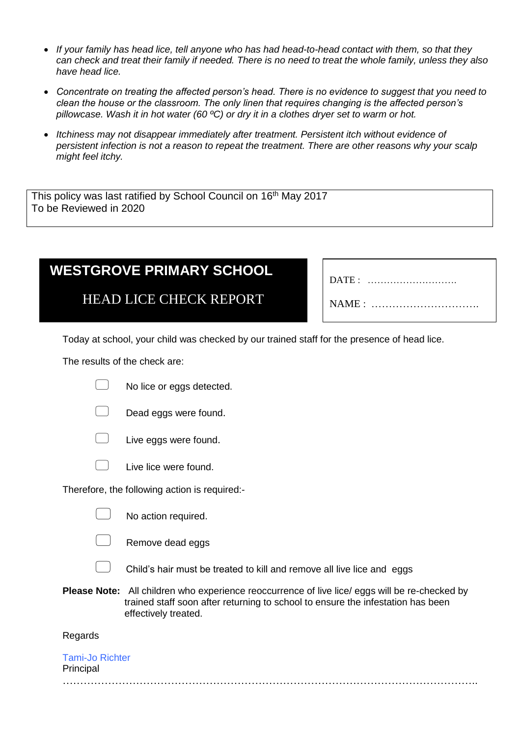- *If your family has head lice, tell anyone who has had head-to-head contact with them, so that they can check and treat their family if needed. There is no need to treat the whole family, unless they also have head lice.*
- *Concentrate on treating the affected person's head. There is no evidence to suggest that you need to clean the house or the classroom. The only linen that requires changing is the affected person's pillowcase. Wash it in hot water (60 ºC) or dry it in a clothes dryer set to warm or hot.*
- *Itchiness may not disappear immediately after treatment. Persistent itch without evidence of persistent infection is not a reason to repeat the treatment. There are other reasons why your scalp might feel itchy.*

This policy was last ratified by School Council on 16<sup>th</sup> May 2017 To be Reviewed in 2020

# **WESTGROVE PRIMARY SCHOOL**

### HEAD LICE CHECK REPORT

Today at school, your child was checked by our trained staff for the presence of head lice.

The results of the check are:

No lice or eggs detected.





Live lice were found.

Therefore, the following action is required:-

|  | No action required. |  |
|--|---------------------|--|
|--|---------------------|--|

- Remove dead eggs
- Child's hair must be treated to kill and remove all live lice and eggs
- **Please Note:** All children who experience reoccurrence of live lice/ eggs will be re-checked by trained staff soon after returning to school to ensure the infestation has been effectively treated.

Regards

| <b>Tami-Jo Richter</b><br>Principal |  |  |
|-------------------------------------|--|--|
|                                     |  |  |